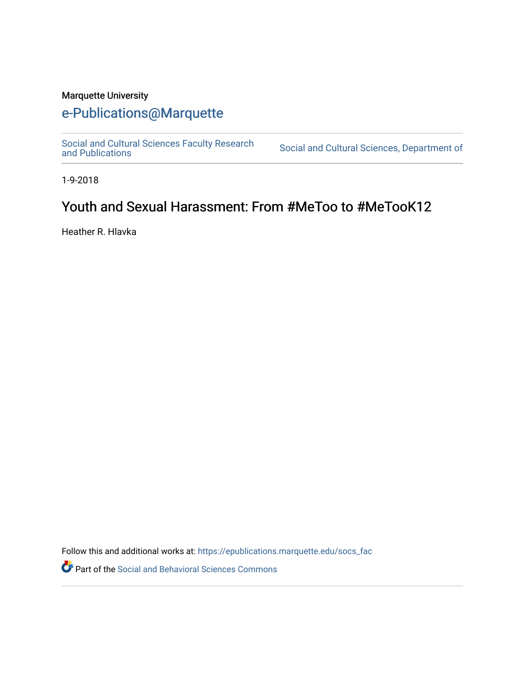## Marquette University

## [e-Publications@Marquette](https://epublications.marquette.edu/)

[Social and Cultural Sciences Faculty Research](https://epublications.marquette.edu/socs_fac) [and Publications](https://epublications.marquette.edu/socs_fac) [Social and Cultural Sciences, Department of](https://epublications.marquette.edu/socs) 

1-9-2018

## Youth and Sexual Harassment: From #MeToo to #MeTooK12

Heather R. Hlavka

Follow this and additional works at: [https://epublications.marquette.edu/socs\\_fac](https://epublications.marquette.edu/socs_fac?utm_source=epublications.marquette.edu%2Fsocs_fac%2F265&utm_medium=PDF&utm_campaign=PDFCoverPages)

Part of the [Social and Behavioral Sciences Commons](http://network.bepress.com/hgg/discipline/316?utm_source=epublications.marquette.edu%2Fsocs_fac%2F265&utm_medium=PDF&utm_campaign=PDFCoverPages)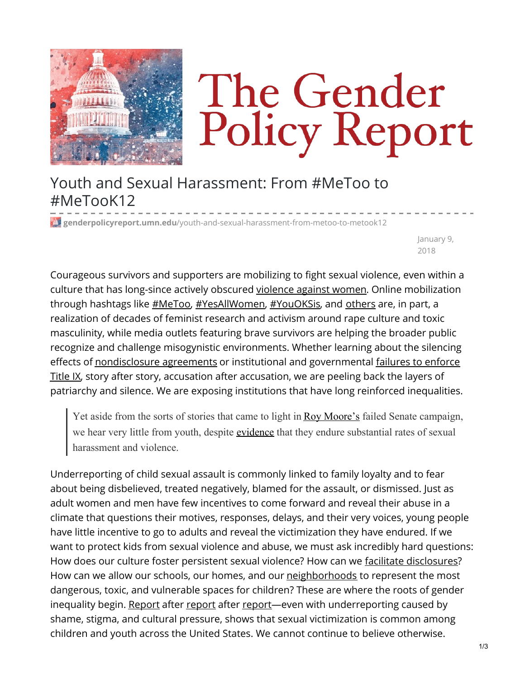

## The Gender Policy Report

Youth and Sexual Harassment: From #MeToo to #MeTooK12

**genderpolicyreport.umn.edu**[/youth-and-sexual-harassment-from-metoo-to-metook12](https://genderpolicyreport.umn.edu/youth-and-sexual-harassment-from-metoo-to-metook12/)

January 9, 2018

Courageous survivors and supporters are mobilizing to fight sexual violence, even within a culture that has long-since actively obscured [violence](http://genderpolicyreport.umn.edu/gender-and-violence-at-100-days/) against women. Online mobilization through hashtags like [#MeToo](https://twitter.com/hashtag/metoo), [#YesAllWomen](https://twitter.com/search?q=%23YESALLWOMEN), [#YouOKSis](https://twitter.com/hashtag/youoksis?lang=en), and [others](https://www.huffingtonpost.com/entry/21-hashtags-that-changed-the-way-we-talk-about-feminism_us_56ec0978e4b084c6722000d1) are, in part, a realization of decades of feminist research and activism around rape culture and toxic masculinity, while media outlets featuring brave survivors are helping the broader public recognize and challenge misogynistic environments. Whether learning about the silencing effects of [nondisclosure](https://www.publicintegrity.org/2010/02/25/4374/lax-enforcement-title-ix-campus-sexual-assault-cases-0) agreements or institutional and governmental failures to enforce Title IX, story after story, accusation after accusation, we are peeling back the layers of patriarchy and silence. We are exposing institutions that have long reinforced inequalities.

Yet aside from the sorts of stories that came to light in Roy [Moore's](https://www.washingtonpost.com/news/politics/wp/2017/11/16/timeline-the-accusations-against-roy-moore/?utm_term=.f83fd84f5774) failed Senate campaign, we hear very little from youth, despite [evidence](http://www.unh.edu/ccrc/index.html) that they endure substantial rates of sexual harassment and violence.

Underreporting of child sexual assault is commonly linked to family loyalty and to fear about being disbelieved, treated negatively, blamed for the assault, or dismissed. Just as adult women and men have few incentives to come forward and reveal their abuse in a climate that questions their motives, responses, delays, and their very voices, young people have little incentive to go to adults and reveal the victimization they have endured. If we want to protect kids from sexual violence and abuse, we must ask incredibly hard questions: How does our culture foster persistent sexual violence? How can we facilitate [disclosures](http://www.tandfonline.com/doi/abs/10.1080/00909889609365450)? How can we allow our schools, our homes, and our [neighborhoods](https://www.urban.org/research/publication/let-girls-be-girls) to represent the most dangerous, toxic, and vulnerable spaces for children? These are where the roots of gender inequality begin. [Report](https://www.aauw.org/research/crossing-the-line/) after [report](https://stacks.cdc.gov/view/cdc/23483) after report—even with underreporting caused by shame, stigma, and cultural pressure, shows that sexual victimization is common among children and youth across the United States. We cannot continue to believe otherwise.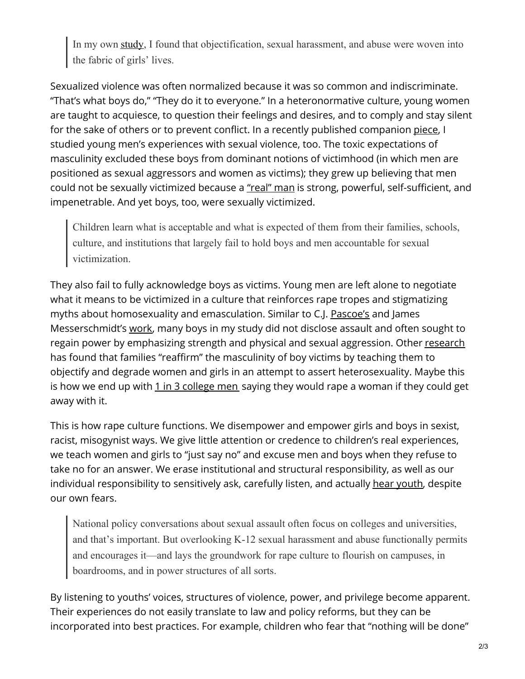In my own [study](http://journals.sagepub.com/doi/abs/10.1177/0891243214526468), I found that objectification, sexual harassment, and abuse were woven into the fabric of girls' lives.

Sexualized violence was often normalized because it was so common and indiscriminate. "That's what boys do," "They do it to everyone." In a heteronormative culture, young women are taught to acquiesce, to question their feelings and desires, and to comply and stay silent for the sake of others or to prevent conflict. In a recently published companion [piece](http://journals.sagepub.com/doi/abs/10.1177/1097184X16652656), I studied young men's experiences with sexual violence, too. The toxic expectations of masculinity excluded these boys from dominant notions of victimhood (in which men are positioned as sexual aggressors and women as victims); they grew up believing that men could not be sexually victimized because a ["real"](http://www.themachoparadox.com/) man is strong, powerful, self-sufficient, and impenetrable. And yet boys, too, were sexually victimized.

Children learn what is acceptable and what is expected of them from their families, schools, culture, and institutions that largely fail to hold boys and men accountable for sexual victimization.

They also fail to fully acknowledge boys as victims. Young men are left alone to negotiate what it means to be victimized in a culture that reinforces rape tropes and stigmatizing myths about homosexuality and emasculation. Similar to C.J. [Pascoe's](https://www.ucpress.edu/ebook.php?isbn=9780520950696) and James Messerschmidt's [work](http://journals.sagepub.com/doi/abs/10.1177/1097184X00002003003), many boys in my study did not disclose assault and often sought to regain power by emphasizing strength and physical and sexual aggression. Other [research](http://www.academia.edu/27152981/_Saving_Masculinity_Gender_Reaffirmation_Sexuality_Race_and_Parental_Responses_to_Male_Child_Sexual_Abuse) has found that families "reaffirm" the masculinity of boy victims by teaching them to objectify and degrade women and girls in an attempt to assert heterosexuality. Maybe this is how we end up with  $1$  in  $3$  [college](http://online.liebertpub.com/doi/pdf/10.1089/vio.2014.0022) men saying they would rape a woman if they could get away with it.

This is how rape culture functions. We disempower and empower girls and boys in sexist, racist, misogynist ways. We give little attention or credence to children's real experiences, we teach women and girls to "just say no" and excuse men and boys when they refuse to take no for an answer. We erase institutional and structural responsibility, as well as our individual responsibility to sensitively ask, carefully listen, and actually hear [youth](http://www.tandfonline.com/doi/abs/10.1080/10570319709374565), despite our own fears.

National policy conversations about sexual assault often focus on colleges and universities, and that's important. But overlooking K-12 sexual harassment and abuse functionally permits and encourages it—and lays the groundwork for rape culture to flourish on campuses, in boardrooms, and in power structures of all sorts.

By listening to youths' voices, structures of violence, power, and privilege become apparent. Their experiences do not easily translate to law and policy reforms, but they can be incorporated into best practices. For example, children who fear that "nothing will be done"